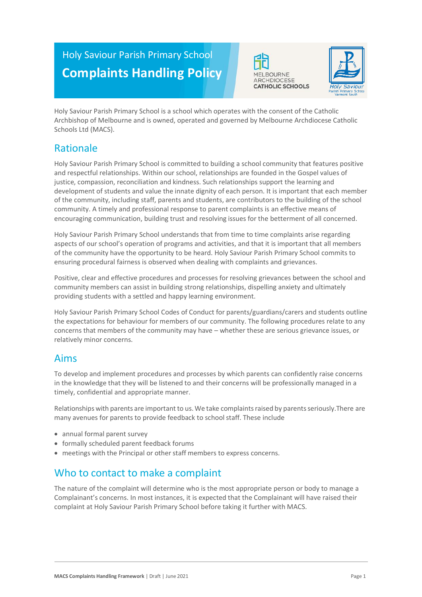# Holy Saviour Parish Primary School **Complaints Handling Policy**





Holy Saviour Parish Primary School is a school which operates with the consent of the Catholic Archbishop of Melbourne and is owned, operated and governed by Melbourne Archdiocese Catholic Schools Ltd (MACS).

# Rationale

Holy Saviour Parish Primary School is committed to building a school community that features positive and respectful relationships. Within our school, relationships are founded in the Gospel values of justice, compassion, reconciliation and kindness. Such relationships support the learning and development of students and value the innate dignity of each person. It is important that each member of the community, including staff, parents and students, are contributors to the building of the school community. A timely and professional response to parent complaints is an effective means of encouraging communication, building trust and resolving issues for the betterment of all concerned.

Holy Saviour Parish Primary School understands that from time to time complaints arise regarding aspects of our school's operation of programs and activities, and that it is important that all members of the community have the opportunity to be heard. Holy Saviour Parish Primary School commits to ensuring procedural fairness is observed when dealing with complaints and grievances.

Positive, clear and effective procedures and processes for resolving grievances between the school and community members can assist in building strong relationships, dispelling anxiety and ultimately providing students with a settled and happy learning environment.

Holy Saviour Parish Primary School Codes of Conduct for parents/guardians/carers and students outline the expectations for behaviour for members of our community. The following procedures relate to any concerns that members of the community may have – whether these are serious grievance issues, or relatively minor concerns.

### Aims

To develop and implement procedures and processes by which parents can confidently raise concerns in the knowledge that they will be listened to and their concerns will be professionally managed in a timely, confidential and appropriate manner.

Relationships with parents are important to us. We take complaints raised by parents seriously. There are many avenues for parents to provide feedback to school staff. These include

- annual formal parent survey
- formally scheduled parent feedback forums
- meetings with the Principal or other staff members to express concerns.

# Who to contact to make a complaint

The nature of the complaint will determine who is the most appropriate person or body to manage a Complainant's concerns. In most instances, it is expected that the Complainant will have raised their complaint at Holy Saviour Parish Primary School before taking it further with MACS.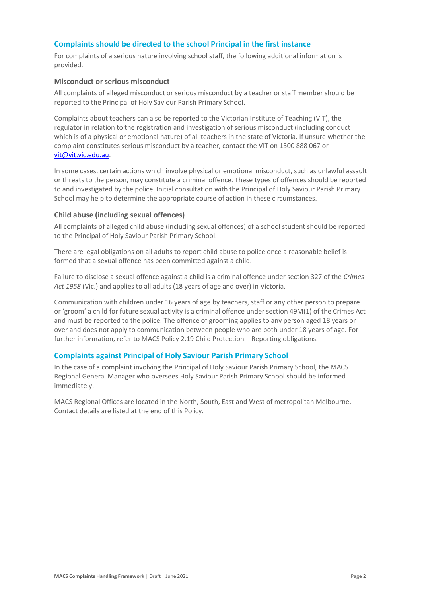### **Complaints should be directed to the school Principal in the first instance**

For complaints of a serious nature involving school staff, the following additional information is provided.

#### **Misconduct or serious misconduct**

All complaints of alleged misconduct or serious misconduct by a teacher or staff member should be reported to the Principal of Holy Saviour Parish Primary School.

Complaints about teachers can also be reported to the Victorian Institute of Teaching (VIT), the regulator in relation to the registration and investigation of serious misconduct (including conduct which is of a physical or emotional nature) of all teachers in the state of Victoria. If unsure whether the complaint constitutes serious misconduct by a teacher, contact the VIT on 1300 888 067 or [vit@vit.vic.edu.au.](mailto:vit@vit.vic.edu.au)

In some cases, certain actions which involve physical or emotional misconduct, such as unlawful assault or threats to the person, may constitute a criminal offence. These types of offences should be reported to and investigated by the police. Initial consultation with the Principal of Holy Saviour Parish Primary School may help to determine the appropriate course of action in these circumstances.

#### **Child abuse (including sexual offences)**

All complaints of alleged child abuse (including sexual offences) of a school student should be reported to the Principal of Holy Saviour Parish Primary School.

There are legal obligations on all adults to report child abuse to police once a reasonable belief is formed that a sexual offence has been committed against a child.

Failure to disclose a sexual offence against a child is a criminal offence under section 327 of the *Crimes Act 1958* (Vic.) and applies to all adults (18 years of age and over) in Victoria.

Communication with children under 16 years of age by teachers, staff or any other person to prepare or 'groom' a child for future sexual activity is a criminal offence under section 49M(1) of the Crimes Act and must be reported to the police. The offence of grooming applies to any person aged 18 years or over and does not apply to communication between people who are both under 18 years of age. For further information, refer to MACS Policy 2.19 Child Protection – Reporting obligations.

### **Complaints against Principal of Holy Saviour Parish Primary School**

In the case of a complaint involving the Principal of Holy Saviour Parish Primary School, the MACS Regional General Manager who oversees Holy Saviour Parish Primary School should be informed immediately.

MACS Regional Offices are located in the North, South, East and West of metropolitan Melbourne. Contact details are listed at the end of this Policy.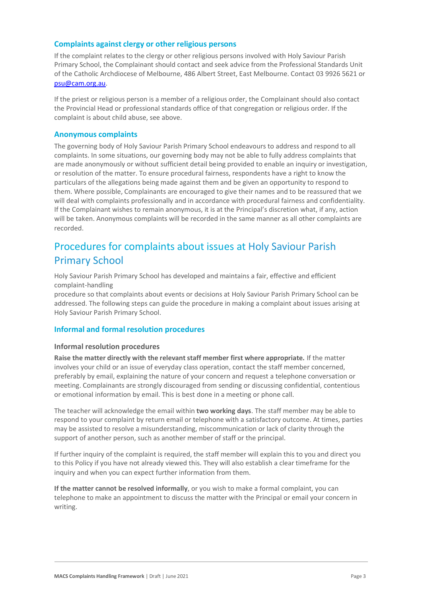### **Complaints against clergy or other religious persons**

If the complaint relates to the clergy or other religious persons involved with Holy Saviour Parish Primary School, the Complainant should contact and seek advice from the Professional Standards Unit of the Catholic Archdiocese of Melbourne, 486 Albert Street, East Melbourne. Contact 03 9926 5621 or [psu@cam.org.au.](mailto:psu@cam.org.au)

If the priest or religious person is a member of a religious order, the Complainant should also contact the Provincial Head or professional standards office of that congregation or religious order. If the complaint is about child abuse, see above.

### **Anonymous complaints**

The governing body of Holy Saviour Parish Primary School endeavours to address and respond to all complaints. In some situations, our governing body may not be able to fully address complaints that are made anonymously or without sufficient detail being provided to enable an inquiry or investigation, or resolution of the matter. To ensure procedural fairness, respondents have a right to know the particulars of the allegations being made against them and be given an opportunity to respond to them. Where possible, Complainants are encouraged to give their names and to be reassured that we will deal with complaints professionally and in accordance with procedural fairness and confidentiality. If the Complainant wishes to remain anonymous, it is at the Principal's discretion what, if any, action will be taken. Anonymous complaints will be recorded in the same manner as all other complaints are recorded.

# Procedures for complaints about issues at Holy Saviour Parish Primary School

Holy Saviour Parish Primary School has developed and maintains a fair, effective and efficient complaint-handling

procedure so that complaints about events or decisions at Holy Saviour Parish Primary School can be addressed. The following steps can guide the procedure in making a complaint about issues arising at Holy Saviour Parish Primary School.

### **Informal and formal resolution procedures**

### **Informal resolution procedures**

**Raise the matter directly with the relevant staff member first where appropriate.** If the matter involves your child or an issue of everyday class operation, contact the staff member concerned, preferably by email, explaining the nature of your concern and request a telephone conversation or meeting. Complainants are strongly discouraged from sending or discussing confidential, contentious or emotional information by email. This is best done in a meeting or phone call.

The teacher will acknowledge the email within **two working days**. The staff member may be able to respond to your complaint by return email or telephone with a satisfactory outcome. At times, parties may be assisted to resolve a misunderstanding, miscommunication or lack of clarity through the support of another person, such as another member of staff or the principal.

If further inquiry of the complaint is required, the staff member will explain this to you and direct you to this Policy if you have not already viewed this. They will also establish a clear timeframe for the inquiry and when you can expect further information from them.

**If the matter cannot be resolved informally**, or you wish to make a formal complaint, you can telephone to make an appointment to discuss the matter with the Principal or email your concern in writing.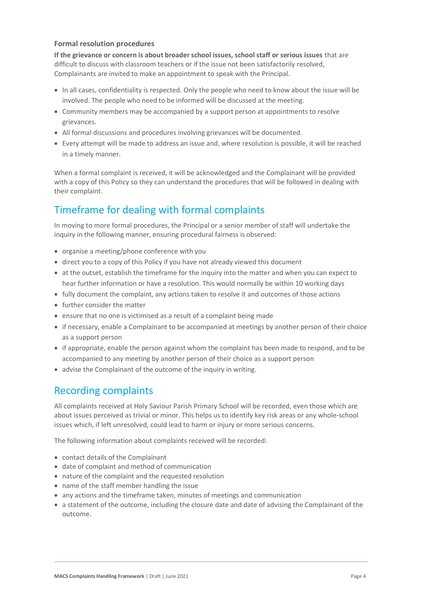### **Formal resolution procedures**

**If the grievance or concern is about broader school issues, school staff or serious issues** that are difficult to discuss with classroom teachers or if the issue not been satisfactorily resolved, Complainants are invited to make an appointment to speak with the Principal.

- In all cases, confidentiality is respected. Only the people who need to know about the issue will be involved. The people who need to be informed will be discussed at the meeting.
- Community members may be accompanied by a support person at appointments to resolve grievances.
- All formal discussions and procedures involving grievances will be documented.
- Every attempt will be made to address an issue and, where resolution is possible, it will be reached in a timely manner.

When a formal complaint is received, it will be acknowledged and the Complainant will be provided with a copy of this Policy so they can understand the procedures that will be followed in dealing with their complaint.

# Timeframe for dealing with formal complaints

In moving to more formal procedures, the Principal or a senior member of staff will undertake the inquiry in the following manner, ensuring procedural fairness is observed:

- organise a meeting/phone conference with you
- direct you to a copy of this Policy if you have not already viewed this document
- at the outset, establish the timeframe for the inquiry into the matter and when you can expect to hear further information or have a resolution. This would normally be within 10 working days
- fully document the complaint, any actions taken to resolve it and outcomes of those actions
- further consider the matter
- ensure that no one is victimised as a result of a complaint being made
- if necessary, enable a Complainant to be accompanied at meetings by another person of their choice as a support person
- if appropriate, enable the person against whom the complaint has been made to respond, and to be accompanied to any meeting by another person of their choice as a support person
- advise the Complainant of the outcome of the inquiry in writing.

## Recording complaints

All complaints received at Holy Saviour Parish Primary School will be recorded, even those which are about issues perceived as trivial or minor. This helps us to identify key risk areas or any whole-school issues which, if left unresolved, could lead to harm or injury or more serious concerns.

The following information about complaints received will be recorded:

- contact details of the Complainant
- date of complaint and method of communication
- nature of the complaint and the requested resolution
- name of the staff member handling the issue
- any actions and the timeframe taken, minutes of meetings and communication
- a statement of the outcome, including the closure date and date of advising the Complainant of the outcome.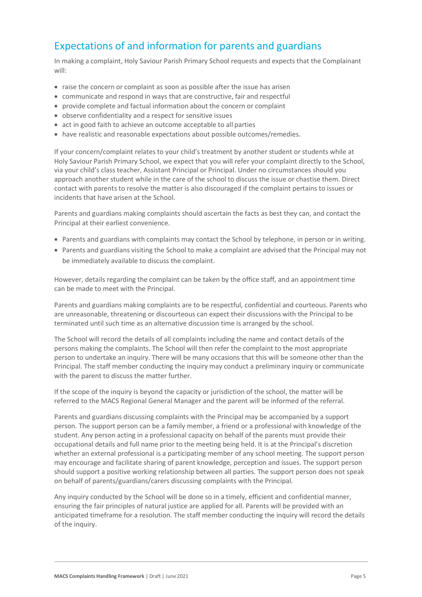# Expectations of and information for parents and guardians

In making a complaint, Holy Saviour Parish Primary School requests and expects that the Complainant will:

- raise the concern or complaint as soon as possible after the issue has arisen
- communicate and respond in ways that are constructive, fair and respectful
- provide complete and factual information about the concern or complaint
- observe confidentiality and a respect for sensitive issues
- act in good faith to achieve an outcome acceptable to all parties
- have realistic and reasonable expectations about possible outcomes/remedies.

If your concern/complaint relates to your child's treatment by another student or students while at Holy Saviour Parish Primary School, we expect that you will refer your complaint directly to the School, via your child's class teacher, Assistant Principal or Principal. Under no circumstances should you approach another student while in the care of the school to discuss the issue or chastise them. Direct contact with parents to resolve the matter is also discouraged if the complaint pertains to issues or incidents that have arisen at the School.

Parents and guardians making complaints should ascertain the facts as best they can, and contact the Principal at their earliest convenience.

- Parents and guardians with complaints may contact the School by telephone, in person or in writing.
- Parents and guardians visiting the School to make a complaint are advised that the Principal may not be immediately available to discuss the complaint.

However, details regarding the complaint can be taken by the office staff, and an appointment time can be made to meet with the Principal.

Parents and guardians making complaints are to be respectful, confidential and courteous. Parents who are unreasonable, threatening or discourteous can expect their discussions with the Principal to be terminated until such time as an alternative discussion time is arranged by the school.

The School will record the details of all complaints including the name and contact details of the persons making the complaints. The School will then refer the complaint to the most appropriate person to undertake an inquiry. There will be many occasions that this will be someone other than the Principal. The staff member conducting the inquiry may conduct a preliminary inquiry or communicate with the parent to discuss the matter further.

If the scope of the inquiry is beyond the capacity or jurisdiction of the school, the matter will be referred to the MACS Regional General Manager and the parent will be informed of the referral.

Parents and guardians discussing complaints with the Principal may be accompanied by a support person. The support person can be a family member, a friend or a professional with knowledge of the student. Any person acting in a professional capacity on behalf of the parents must provide their occupational details and full name prior to the meeting being held. It is at the Principal's discretion whether an external professional is a participating member of any school meeting. The support person may encourage and facilitate sharing of parent knowledge, perception and issues. The support person should support a positive working relationship between all parties. The support person does not speak on behalf of parents/guardians/carers discussing complaints with the Principal.

Any inquiry conducted by the School will be done so in a timely, efficient and confidential manner, ensuring the fair principles of natural justice are applied for all. Parents will be provided with an anticipated timeframe for a resolution. The staff member conducting the inquiry will record the details of the inquiry.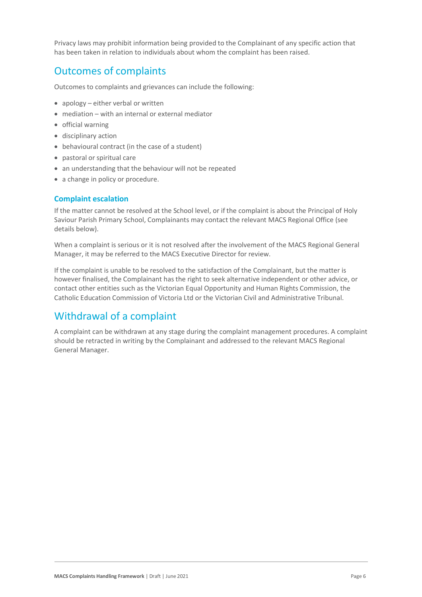Privacy laws may prohibit information being provided to the Complainant of any specific action that has been taken in relation to individuals about whom the complaint has been raised.

# Outcomes of complaints

Outcomes to complaints and grievances can include the following:

- apology either verbal or written
- mediation with an internal or external mediator
- official warning
- disciplinary action
- behavioural contract (in the case of a student)
- pastoral or spiritual care
- an understanding that the behaviour will not be repeated
- a change in policy or procedure.

### **Complaint escalation**

If the matter cannot be resolved at the School level, or if the complaint is about the Principal of Holy Saviour Parish Primary School, Complainants may contact the relevant MACS Regional Office (see details below).

When a complaint is serious or it is not resolved after the involvement of the MACS Regional General Manager, it may be referred to the MACS Executive Director for review.

If the complaint is unable to be resolved to the satisfaction of the Complainant, but the matter is however finalised, the Complainant has the right to seek alternative independent or other advice, or contact other entities such as the Victorian Equal Opportunity and Human Rights Commission, the Catholic Education Commission of Victoria Ltd or the Victorian Civil and Administrative Tribunal.

## Withdrawal of a complaint

A complaint can be withdrawn at any stage during the complaint management procedures. A complaint should be retracted in writing by the Complainant and addressed to the relevant MACS Regional General Manager.